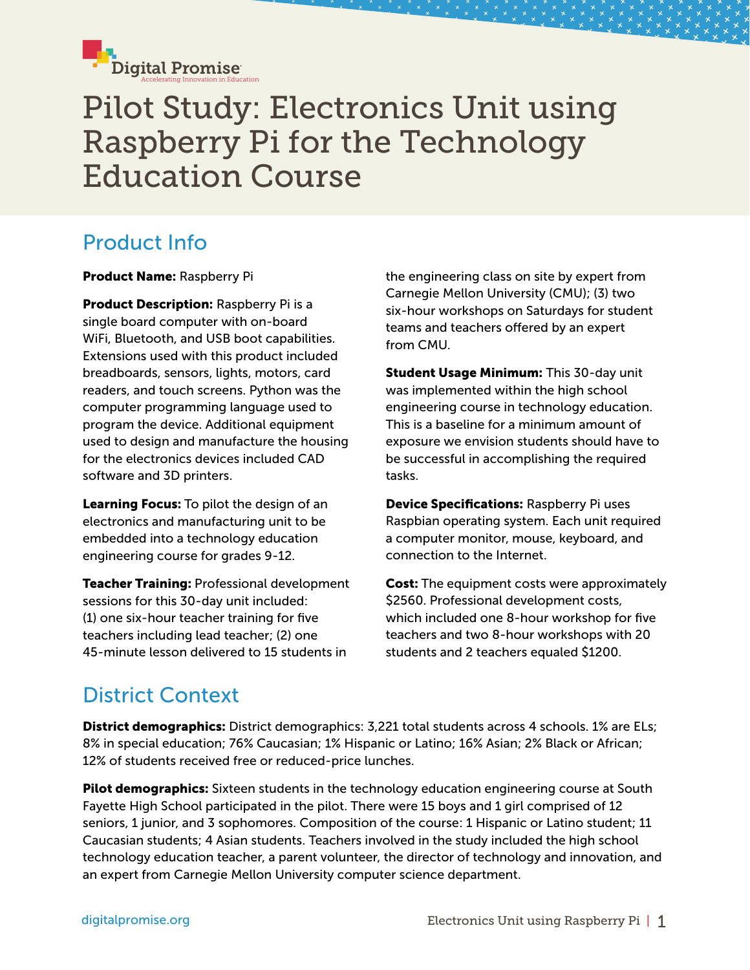

# Pilot Study: Electronics Unit using Raspberry Pi for the Technology Education Course

## Product Info

Product Name: Raspberry Pi

**Product Description: Raspberry Pi is a** single board computer with on-board WiFi, Bluetooth, and USB boot capabilities. Extensions used with this product included breadboards, sensors, lights, motors, card readers, and touch screens. Python was the computer programming language used to program the device. Additional equipment used to design and manufacture the housing for the electronics devices included CAD software and 3D printers.

Learning Focus: To pilot the design of an electronics and manufacturing unit to be embedded into a technology education engineering course for grades 9-12.

**Teacher Training: Professional development** sessions for this 30-day unit included: (1) one six-hour teacher training for five teachers including lead teacher; (2) one 45-minute lesson delivered to 15 students in

the engineering class on site by expert from Carnegie Mellon University (CMU); (3) two six-hour workshops on Saturdays for student teams and teachers offered by an expert from CMU.

**Student Usage Minimum: This 30-day unit** was implemented within the high school engineering course in technology education. This is a baseline for a minimum amount of exposure we envision students should have to be successful in accomplishing the required tasks.

Device Specifications: Raspberry Pi uses Raspbian operating system. Each unit required a computer monitor, mouse, keyboard, and connection to the Internet.

**Cost:** The equipment costs were approximately \$2560. Professional development costs, which included one 8-hour workshop for five teachers and two 8-hour workshops with 20 students and 2 teachers equaled \$1200.

## District Context

District demographics: District demographics: 3,221 total students across 4 schools. 1% are ELs; 8% in special education; 76% Caucasian; 1% Hispanic or Latino; 16% Asian; 2% Black or African; 12% of students received free or reduced-price lunches.

Pilot demographics: Sixteen students in the technology education engineering course at South Fayette High School participated in the pilot. There were 15 boys and 1 girl comprised of 12 seniors, 1 junior, and 3 sophomores. Composition of the course: 1 Hispanic or Latino student; 11 Caucasian students; 4 Asian students. Teachers involved in the study included the high school technology education teacher, a parent volunteer, the director of technology and innovation, and an expert from Carnegie Mellon University computer science department.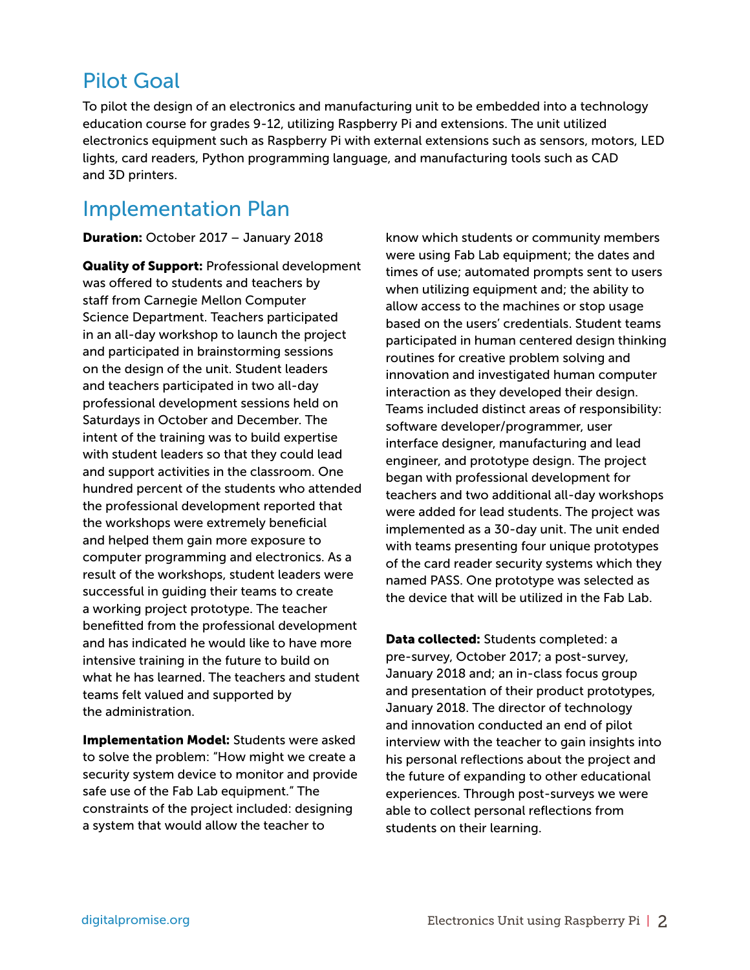### Pilot Goal

To pilot the design of an electronics and manufacturing unit to be embedded into a technology education course for grades 9-12, utilizing Raspberry Pi and extensions. The unit utilized electronics equipment such as Raspberry Pi with external extensions such as sensors, motors, LED lights, card readers, Python programming language, and manufacturing tools such as CAD and 3D printers.

#### Implementation Plan

Duration: October 2017 – January 2018

**Quality of Support: Professional development** was offered to students and teachers by staff from Carnegie Mellon Computer Science Department. Teachers participated in an all-day workshop to launch the project and participated in brainstorming sessions on the design of the unit. Student leaders and teachers participated in two all-day professional development sessions held on Saturdays in October and December. The intent of the training was to build expertise with student leaders so that they could lead and support activities in the classroom. One hundred percent of the students who attended the professional development reported that the workshops were extremely beneficial and helped them gain more exposure to computer programming and electronics. As a result of the workshops, student leaders were successful in guiding their teams to create a working project prototype. The teacher benefitted from the professional development and has indicated he would like to have more intensive training in the future to build on what he has learned. The teachers and student teams felt valued and supported by the administration.

**Implementation Model: Students were asked** to solve the problem: "How might we create a security system device to monitor and provide safe use of the Fab Lab equipment." The constraints of the project included: designing a system that would allow the teacher to

know which students or community members were using Fab Lab equipment; the dates and times of use; automated prompts sent to users when utilizing equipment and; the ability to allow access to the machines or stop usage based on the users' credentials. Student teams participated in human centered design thinking routines for creative problem solving and innovation and investigated human computer interaction as they developed their design. Teams included distinct areas of responsibility: software developer/programmer, user interface designer, manufacturing and lead engineer, and prototype design. The project began with professional development for teachers and two additional all-day workshops were added for lead students. The project was implemented as a 30-day unit. The unit ended with teams presenting four unique prototypes of the card reader security systems which they named PASS. One prototype was selected as the device that will be utilized in the Fab Lab.

Data collected: Students completed: a pre-survey, October 2017; a post-survey, January 2018 and; an in-class focus group and presentation of their product prototypes, January 2018. The director of technology and innovation conducted an end of pilot interview with the teacher to gain insights into his personal reflections about the project and the future of expanding to other educational experiences. Through post-surveys we were able to collect personal reflections from students on their learning.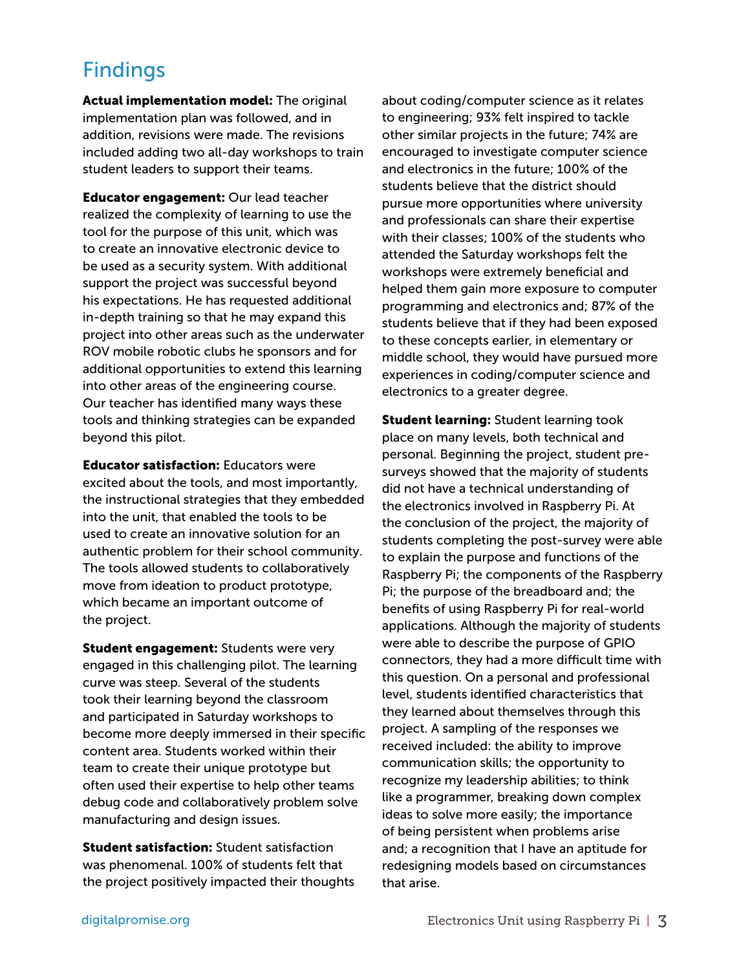### Findings

Actual implementation model: The original implementation plan was followed, and in addition, revisions were made. The revisions included adding two all-day workshops to train student leaders to support their teams.

**Educator engagement: Our lead teacher** realized the complexity of learning to use the tool for the purpose of this unit, which was to create an innovative electronic device to be used as a security system. With additional support the project was successful beyond his expectations. He has requested additional in-depth training so that he may expand this project into other areas such as the underwater ROV mobile robotic clubs he sponsors and for additional opportunities to extend this learning into other areas of the engineering course. Our teacher has identified many ways these tools and thinking strategies can be expanded beyond this pilot.

**Educator satisfaction: Educators were** excited about the tools, and most importantly, the instructional strategies that they embedded into the unit, that enabled the tools to be used to create an innovative solution for an authentic problem for their school community. The tools allowed students to collaboratively move from ideation to product prototype, which became an important outcome of the project.

**Student engagement:** Students were very engaged in this challenging pilot. The learning curve was steep. Several of the students took their learning beyond the classroom and participated in Saturday workshops to become more deeply immersed in their specific content area. Students worked within their team to create their unique prototype but often used their expertise to help other teams debug code and collaboratively problem solve manufacturing and design issues.

**Student satisfaction:** Student satisfaction was phenomenal. 100% of students felt that the project positively impacted their thoughts about coding/computer science as it relates to engineering; 93% felt inspired to tackle other similar projects in the future; 74% are encouraged to investigate computer science and electronics in the future; 100% of the students believe that the district should pursue more opportunities where university and professionals can share their expertise with their classes; 100% of the students who attended the Saturday workshops felt the workshops were extremely beneficial and helped them gain more exposure to computer programming and electronics and; 87% of the students believe that if they had been exposed to these concepts earlier, in elementary or middle school, they would have pursued more experiences in coding/computer science and electronics to a greater degree.

**Student learning:** Student learning took place on many levels, both technical and personal. Beginning the project, student presurveys showed that the majority of students did not have a technical understanding of the electronics involved in Raspberry Pi. At the conclusion of the project, the majority of students completing the post-survey were able to explain the purpose and functions of the Raspberry Pi; the components of the Raspberry Pi; the purpose of the breadboard and; the benefits of using Raspberry Pi for real-world applications. Although the majority of students were able to describe the purpose of GPIO connectors, they had a more difficult time with this question. On a personal and professional level, students identified characteristics that they learned about themselves through this project. A sampling of the responses we received included: the ability to improve communication skills; the opportunity to recognize my leadership abilities; to think like a programmer, breaking down complex ideas to solve more easily; the importance of being persistent when problems arise and; a recognition that I have an aptitude for redesigning models based on circumstances that arise.